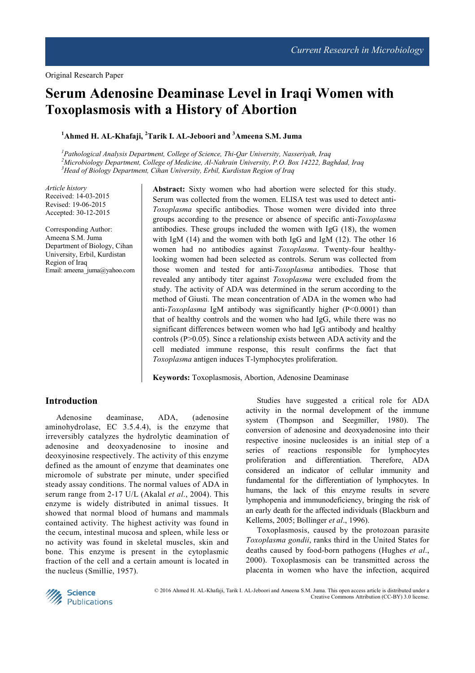# **Serum Adenosine Deaminase Level in Iraqi Women with Toxoplasmosis with a History of Abortion**

**<sup>1</sup>Ahmed H. AL-Khafaji, <sup>2</sup>Tarik I. AL-Jeboori and <sup>3</sup>Ameena S.M. Juma** 

*<sup>1</sup>Pathological Analysis Department, College of Science, Thi-Qar University, Nasseriyah, Iraq <sup>2</sup>Microbiology Department, College of Medicine, Al-Nahrain University, P.O. Box 14222, Baghdad, Iraq <sup>3</sup>Head of Biology Department, Cihan University, Erbil, Kurdistan Region of Iraq*

*Article history*  Received: 14-03-2015 Revised: 19-06-2015 Accepted: 30-12-2015

Corresponding Author: Ameena S.M. Juma Department of Biology, Cihan University, Erbil, Kurdistan Region of Iraq Email: ameena\_juma@yahoo.com

**Abstract:** Sixty women who had abortion were selected for this study. Serum was collected from the women. ELISA test was used to detect anti-*Toxoplasma* specific antibodies. Those women were divided into three groups according to the presence or absence of specific anti-*Toxoplasma* antibodies. These groups included the women with IgG (18), the women with IgM (14) and the women with both IgG and IgM (12). The other 16 women had no antibodies against *Toxoplasma*. Twenty-four healthylooking women had been selected as controls. Serum was collected from those women and tested for anti-*Toxoplasma* antibodies. Those that revealed any antibody titer against *Toxoplasma* were excluded from the study. The activity of ADA was determined in the serum according to the method of Giusti. The mean concentration of ADA in the women who had anti-*Toxoplasma* IgM antibody was significantly higher (P<0.0001) than that of healthy controls and the women who had IgG, while there was no significant differences between women who had IgG antibody and healthy controls (P>0.05). Since a relationship exists between ADA activity and the cell mediated immune response, this result confirms the fact that *Toxoplasma* antigen induces T-lymphocytes proliferation.

**Keywords:** Toxoplasmosis, Abortion, Adenosine Deaminase

# **Introduction**

Adenosine deaminase, ADA, (adenosine aminohydrolase, EC 3.5.4.4), is the enzyme that irreversibly catalyzes the hydrolytic deamination of adenosine and deoxyadenosine to inosine and deoxyinosine respectively. The activity of this enzyme defined as the amount of enzyme that deaminates one micromole of substrate per minute, under specified steady assay conditions. The normal values of ADA in serum range from 2-17 U/L (Akalal *et al*., 2004). This enzyme is widely distributed in animal tissues. It showed that normal blood of humans and mammals contained activity. The highest activity was found in the cecum, intestinal mucosa and spleen, while less or no activity was found in skeletal muscles, skin and bone. This enzyme is present in the cytoplasmic fraction of the cell and a certain amount is located in the nucleus (Smillie, 1957).

Studies have suggested a critical role for ADA activity in the normal development of the immune system (Thompson and Seegmiller, 1980). The conversion of adenosine and deoxyadenosine into their respective inosine nucleosides is an initial step of a series of reactions responsible for lymphocytes proliferation and differentiation. Therefore, ADA considered an indicator of cellular immunity and fundamental for the differentiation of lymphocytes. In humans, the lack of this enzyme results in severe lymphopenia and immunodeficiency, bringing the risk of an early death for the affected individuals (Blackburn and Kellems, 2005; Bollinger *et al*., 1996).

Toxoplasmosis, caused by the protozoan parasite *Toxoplasma gondii*, ranks third in the United States for deaths caused by food-born pathogens (Hughes *et al*., 2000). Toxoplasmosis can be transmitted across the placenta in women who have the infection, acquired



© 2016 Ahmed H. AL-Khafaji, Tarik I. AL-Jeboori and Ameena S.M. Juma. This open access article is distributed under a Creative Commons Attribution (CC-BY) 3.0 license.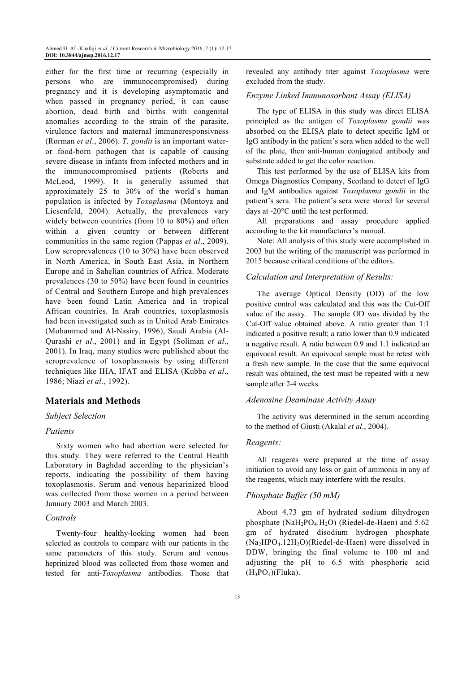either for the first time or recurring (especially in persons who are immunocompromised) during pregnancy and it is developing asymptomatic and when passed in pregnancy period, it can cause abortion, dead birth and births with congenital anomalies according to the strain of the parasite, virulence factors and maternal immuneresponsivness (Rorman *et al*., 2006). *T. gondii* is an important wateror food-born pathogen that is capable of causing severe disease in infants from infected mothers and in the immunocompromised patients (Roberts and McLeod, 1999). It is generally assumed that approximately 25 to 30% of the world's human population is infected by *Toxoplasma* (Montoya and Liesenfeld, 2004). Actually, the prevalences vary widely between countries (from 10 to 80%) and often within a given country or between different communities in the same region (Pappas *et al*., 2009). Low seroprevalences (10 to 30%) have been observed in North America, in South East Asia, in Northern Europe and in Sahelian countries of Africa. Moderate prevalences (30 to 50%) have been found in countries of Central and Southern Europe and high prevalences have been found Latin America and in tropical African countries. In Arab countries, toxoplasmosis had been investigated such as in United Arab Emirates (Mohammed and Al-Nasiry, 1996), Saudi Arabia (Al-Qurashi *et al*., 2001) and in Egypt (Soliman *et al*., 2001). In Iraq, many studies were published about the seroprevalence of toxoplasmosis by using different techniques like IHA, IFAT and ELISA (Kubba *et al*., 1986; Niazi *et al*., 1992).

# **Materials and Methods**

## *Subject Selection*

#### *Patients*

Sixty women who had abortion were selected for this study. They were referred to the Central Health Laboratory in Baghdad according to the physician's reports, indicating the possibility of them having toxoplasmosis. Serum and venous heparinized blood was collected from those women in a period between January 2003 and March 2003.

#### *Controls*

Twenty-four healthy-looking women had been selected as controls to compare with our patients in the same parameters of this study. Serum and venous heprinized blood was collected from those women and tested for anti-*Toxoplasma* antibodies. Those that revealed any antibody titer against *Toxoplasma* were excluded from the study.

# *Enzyme Linked Immunosorbant Assay (ELISA)*

The type of ELISA in this study was direct ELISA principled as the antigen of *Toxoplasma gondii* was absorbed on the ELISA plate to detect specific IgM or IgG antibody in the patient's sera when added to the well of the plate, then anti-human conjugated antibody and substrate added to get the color reaction.

This test performed by the use of ELISA kits from Omega Diagnostics Company, Scotland to detect of IgG and IgM antibodies against *Toxoplasma gondii* in the patient's sera. The patient's sera were stored for several days at -20°C until the test performed.

All preparations and assay procedure applied according to the kit manufacturer's manual.

Note: All analysis of this study were accomplished in 2003 but the writing of the manuscript was performed in 2015 because critical conditions of the editors.

## *Calculation and Interpretation of Results:*

The average Optical Density (OD) of the low positive control was calculated and this was the Cut-Off value of the assay. The sample OD was divided by the Cut-Off value obtained above. A ratio greater than 1:1 indicated a positive result; a ratio lower than 0.9 indicated a negative result. A ratio between 0.9 and 1.1 indicated an equivocal result. An equivocal sample must be retest with a fresh new sample. In the case that the same equivocal result was obtained, the test must be repeated with a new sample after 2-4 weeks.

## *Adenosine Deaminase Activity Assay*

The activity was determined in the serum according to the method of Giusti (Akalal *et al*., 2004).

#### *Reagents:*

All reagents were prepared at the time of assay initiation to avoid any loss or gain of ammonia in any of the reagents, which may interfere with the results.

## *Phosphate Buffer (50 mM)*

About 4.73 gm of hydrated sodium dihydrogen phosphate (NaH<sub>2</sub>PO<sub>4</sub>, H<sub>2</sub>O) (Riedel-de-Haen) and  $5.62$ gm of hydrated disodium hydrogen phosphate  $(Na_2HPO_4.12H_2O)(Riedel-de-Haen)$  were dissolved in DDW, bringing the final volume to 100 ml and adjusting the pH to 6.5 with phosphoric acid  $(H_3PO_4)$ (Fluka).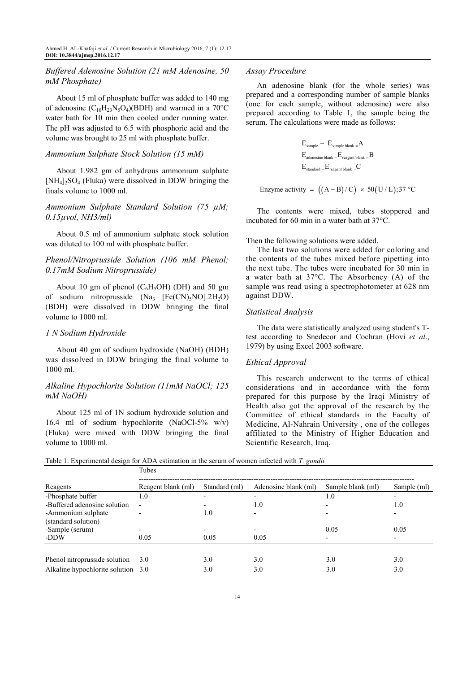## *Buffered Adenosine Solution (21 mM Adenosine, 50 mM Phosphate)*

About 15 ml of phosphate buffer was added to 140 mg of adenosine  $(C_{10}H_{23}N_5O_4)(BDH)$  and warmed in a 70°C water bath for 10 min then cooled under running water. The pH was adjusted to 6.5 with phosphoric acid and the volume was brought to 25 ml with phosphate buffer.

#### *Ammonium Sulphate Stock Solution (15 mM)*

About 1.982 gm of anhydrous ammonium sulphate  $[NH_4]_2SO_4$  (Fluka) were dissolved in DDW bringing the finals volume to 1000 ml.

# *Ammonium Sulphate Standard Solution (75 µM; 0.15µvol, NH3/ml)*

About 0.5 ml of ammonium sulphate stock solution was diluted to 100 ml with phosphate buffer.

## *Phenol/Nitroprusside Solution (106 mM Phenol; 0.17mM Sodium Nitroprusside)*

About 10 gm of phenol  $(C_6H_5OH)$  (DH) and 50 gm of sodium nitroprusside  $(Na_3$   $[Fe(CN)_5NO].2H_2O)$ (BDH) were dissolved in DDW bringing the final volume to 1000 ml.

#### *1 N Sodium Hydroxide*

About 40 gm of sodium hydroxide (NaOH) (BDH) was dissolved in DDW bringing the final volume to 1000 ml.

## *Alkaline Hypochlorite Solution (11mM NaOCl; 125 mM NaOH)*

About 125 ml of 1N sodium hydroxide solution and 16.4 ml of sodium hypochlorite (NaOCl-5% w/v) (Fluka) were mixed with DDW bringing the final volume to 1000 ml.

#### *Assay Procedure*

An adenosine blank (for the whole series) was prepared and a corresponding number of sample blanks (one for each sample, without adenosine) were also prepared according to Table 1, the sample being the serum. The calculations were made as follows:

$$
E_{sample} - E_{sample \, blank} = A
$$
  

$$
E_{adenosine \, blank} - E_{regent \, blank} = B
$$
  

$$
E_{standard} - E_{reggent \, blank} = C
$$

Enzyme activity =  $((A - B) / C) \times 50 (U / L)$ ;37 °C

The contents were mixed, tubes stoppered and incubated for 60 min in a water bath at 37°C.

#### Then the following solutions were added.

The last two solutions were added for coloring and the contents of the tubes mixed before pipetting into the next tube. The tubes were incubated for 30 min in a water bath at 37°C. The Absorbency (A) of the sample was read using a spectrophotometer at 628 nm against DDW.

## *Statistical Analysis*

The data were statistically analyzed using student's Ttest according to Snedecor and Cochran (Hovi *et al*., 1979) by using Excel 2003 software.

## *Ethical Approval*

This research underwent to the terms of ethical considerations and in accordance with the form prepared for this purpose by the Iraqi Ministry of Health also got the approval of the research by the Committee of ethical standards in the Faculty of Medicine, Al-Nahrain University , one of the colleges affiliated to the Ministry of Higher Education and Scientific Research, Iraq.

Table 1. Experimental design for ADA estimation in the serum of women infected with *T. gondii*

|                                    | Tubes              |               |                          |                          |             |  |
|------------------------------------|--------------------|---------------|--------------------------|--------------------------|-------------|--|
| Reagents                           | Reagent blank (ml) | Standard (ml) | Adenosine blank (ml)     | Sample blank (ml)        | Sample (ml) |  |
| -Phosphate buffer                  | 1.0                |               |                          | 1.0                      |             |  |
| -Buffered adenosine solution       | ٠                  |               | 1.0                      |                          | 1.0         |  |
| -Ammonium sulphate                 |                    | 1.0           | $\overline{\phantom{0}}$ |                          |             |  |
| (standard solution)                |                    |               |                          |                          |             |  |
| -Sample (serum)                    |                    |               |                          | 0.05                     | 0.05        |  |
| -DDW                               | 0.05               | 0.05          | 0.05                     | $\overline{\phantom{0}}$ |             |  |
|                                    |                    |               |                          |                          |             |  |
| Phenol nitroprusside solution      | 3.0                | 3.0           | 3.0                      | 3.0                      | 3.0         |  |
| Alkaline hypochlorite solution 3.0 |                    | 3.0           | 3.0                      | 3.0                      | 3.0         |  |
|                                    |                    |               |                          |                          |             |  |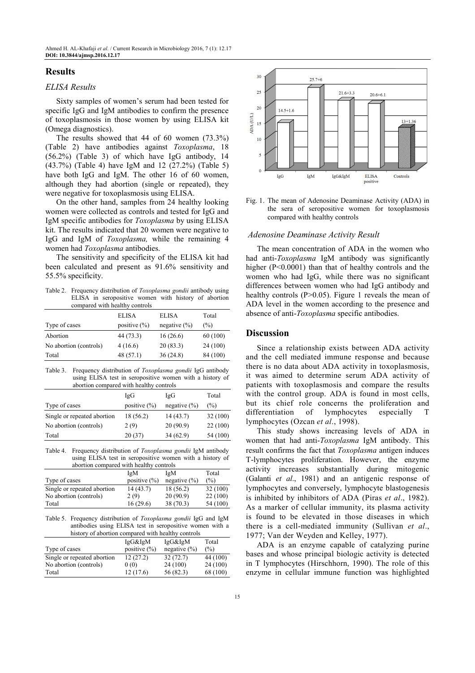# **Results**

## *ELISA Results*

Sixty samples of women's serum had been tested for specific IgG and IgM antibodies to confirm the presence of toxoplasmosis in those women by using ELISA kit (Omega diagnostics).

The results showed that 44 of 60 women (73.3%) (Table 2) have antibodies against *Toxoplasma*, 18 (56.2%) (Table 3) of which have IgG antibody, 14 (43.7%) (Table 4) have IgM and 12 (27.2%) (Table 5) have both IgG and IgM. The other 16 of 60 women, although they had abortion (single or repeated), they were negative for toxoplasmosis using ELISA.

On the other hand, samples from 24 healthy looking women were collected as controls and tested for IgG and IgM specific antibodies for *Toxoplasma* by using ELISA kit. The results indicated that 20 women were negative to IgG and IgM of *Toxoplasma,* while the remaining 4 women had *Toxoplasma* antibodies.

The sensitivity and specificity of the ELISA kit had been calculated and present as 91.6% sensitivity and 55.5% specificity.

Table 2. Frequency distribution of *Toxoplasma gondii* antibody using ELISA in seropositive women with history of abortion compared with healthy controls

|                        | ELISA            | <b>ELISA</b>     | Total    |
|------------------------|------------------|------------------|----------|
| Type of cases          | positive $(\% )$ | negative $(\% )$ | $(\%)$   |
| Abortion               | 44 (73.3)        | 16(26.6)         | 60 (100) |
| No abortion (controls) | 4(16.6)          | 20(83.3)         | 24 (100) |
| Total                  | 48(57.1)         | 36(24.8)         | 84 (100) |

Table 3. Frequency distribution of *Toxoplasma gondii* IgG antibody using ELISA test in seropositive women with a history of abortion compared with healthy controls

|                             | IgG              | IgG              | Total    |  |
|-----------------------------|------------------|------------------|----------|--|
| Type of cases               | positive $(\% )$ | negative $(\% )$ | (%)      |  |
| Single or repeated abortion | 18 (56.2)        | 14(43.7)         | 32 (100) |  |
| No abortion (controls)      | 2(9)             | 20(90.9)         | 22(100)  |  |
| Total                       | 20(37)           | 34(62.9)         | 54 (100) |  |

Table 4. Frequency distribution of *Toxoplasma gondii* IgM antibody using ELISA test in seropositive women with a history of abortion compared with healthy controls

|                             | IgM              | IgM              | Total    |
|-----------------------------|------------------|------------------|----------|
| Type of cases               | positive $(\% )$ | negative $(\% )$ | (%)      |
| Single or repeated abortion | 14(43.7)         | 18 (56.2)        | 32 (100) |
| No abortion (controls)      | 2(9)             | 20(90.9)         | 22(100)  |
| Total                       | 16(29.6)         | 38(70.3)         | 54 (100) |

Table 5. Frequency distribution of *Toxoplasma gondii* IgG and IgM antibodies using ELISA test in seropositive women with a history of abortion compared with healthy controls

| of abortion compared with nearing controls |                  |                  |          |
|--------------------------------------------|------------------|------------------|----------|
|                                            | $IgG\&IgM$       | $IgG\&IgM$       | Total    |
| Type of cases                              | positive $(\% )$ | negative $(\% )$ | (%)      |
| Single or repeated abortion                | 12(27.2)         | 32(72.7)         | 44 (100) |
| No abortion (controls)                     | 0(0)             | 24 (100)         | 24(100)  |
| Total                                      | 12(17.6)         | 56 (82.3)        | 68 (100) |



Fig. 1. The mean of Adenosine Deaminase Activity (ADA) in the sera of seropositive women for toxoplasmosis compared with healthy controls

#### *Adenosine Deaminase Activity Result*

The mean concentration of ADA in the women who had anti -*Toxoplasma* IgM antibody was significantly higher (P<0.0001) than that of healthy controls and the women who had IgG, while there was no significant differences between women who had IgG antibody and healthy controls (P>0.05). Figure 1 reveals the mean of ADA level in the women according to the presence and absence of anti-*Toxoplasma* specific antibodies.

## **Discussion**

Since a relationship exists between ADA activity and the cell mediated immune response and because there is no data about ADA activity in toxoplasmosis, it was aimed to determine serum ADA activity of patients with toxoplasmosis and compare the results with the control group. ADA is found in most cells, but its chief role concerns the proliferation and differentiation of lymphocytes especially T lymphocytes (Ozcan *et al*., 1998).

This study shows increasing levels of ADA in women that had anti-*Toxoplasma* IgM antibody. This result confirms the fact that *Toxoplasma* antigen induces T-lymphocytes proliferation. However, the enzyme activity increases substantially during mitogenic (Galanti *et al*., 1981) and an antigenic response of lymphocytes and conversely, lymphocyte blastogenesis is inhibited by inhibitors of ADA (Piras *et al*., 1982). As a marker of cellular immunity, its plasma activity is found to be elevated in those diseases in which there is a cell-mediated immunity (Sullivan *et al*., 1977; Van der Weyden and Kelley, 1977).

ADA is an enzyme capable of catalyzing purine bases and whose principal biologic activity is detected in T lymphocytes (Hirschhorn, 1990). The role of this enzyme in cellular immune function was highlighted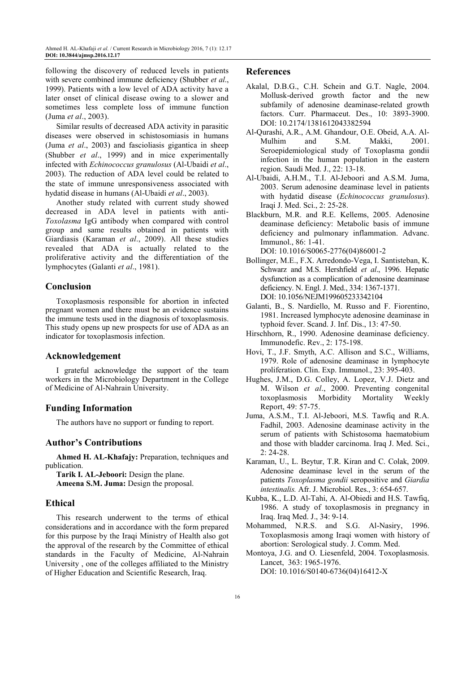following the discovery of reduced levels in patients with severe combined immune deficiency (Shubber *et al*., 1999). Patients with a low level of ADA activity have a later onset of clinical disease owing to a slower and sometimes less complete loss of immune function (Juma *et al*., 2003).

Similar results of decreased ADA activity in parasitic diseases were observed in schistosomiasis in humans (Juma *et al*., 2003) and fascioliasis gigantica in sheep (Shubber *et al*., 1999) and in mice experimentally infected with *Echinococcus granulosus* (Al-Ubaidi *et al*., 2003). The reduction of ADA level could be related to the state of immune unresponsiveness associated with hydatid disease in humans (Al-Ubaidi *et al*., 2003).

Another study related with current study showed decreased in ADA level in patients with anti-*Toxolasma* IgG antibody when compared with control group and same results obtained in patients with Giardiasis (Karaman *et al*., 2009). All these studies revealed that ADA is actually related to the proliferative activity and the differentiation of the lymphocytes (Galanti *et al*., 1981).

# **Conclusion**

Toxoplasmosis responsible for abortion in infected pregnant women and there must be an evidence sustains the immune tests used in the diagnosis of toxoplasmosis. This study opens up new prospects for use of ADA as an indicator for toxoplasmosis infection.

## **Acknowledgement**

I grateful acknowledge the support of the team workers in the Microbiology Department in the College of Medicine of Al-Nahrain University.

## **Funding Information**

The authors have no support or funding to report.

## **Author's Contributions**

**Ahmed H. AL-Khafajy:** Preparation, techniques and publication.

**Tarik I. AL-Jeboori:** Design the plane.

**Ameena S.M. Juma:** Design the proposal.

# **Ethical**

This research underwent to the terms of ethical considerations and in accordance with the form prepared for this purpose by the Iraqi Ministry of Health also got the approval of the research by the Committee of ethical standards in the Faculty of Medicine, Al-Nahrain University , one of the colleges affiliated to the Ministry of Higher Education and Scientific Research, Iraq.

## **References**

- Akalal, D.B.G., C.H. Schein and G.T. Nagle, 2004. Mollusk-derived growth factor and the new subfamily of adenosine deaminase-related growth factors. Curr. Pharmaceut. Des., 10: 3893-3900. DOI: 10.2174/1381612043382594
- Al-Qurashi, A.R., A.M. Ghandour, O.E. Obeid, A.A. Al-Mulhim and S.M. Makki, 2001. Seroepidemiological study of Toxoplasma gondii infection in the human population in the eastern region. Saudi Med. J., 22: 13-18.
- Al-Ubaidi, A.H.M., T.I. Al-Jeboori and A.S.M. Juma, 2003. Serum adenosine deaminase level in patients with hydatid disease (*Echinococcus granulosus*). Iraqi J. Med. Sci., 2: 25-28.
- Blackburn, M.R. and R.E. Kellems, 2005. Adenosine deaminase deficiency: Metabolic basis of immune deficiency and pulmonary inflammation. Advanc. Immunol., 86: 1-41. DOI: 10.1016/S0065-2776(04)86001-2
- Bollinger, M.E., F.X. Arredondo-Vega, I. Santisteban, K. Schwarz and M.S. Hershfield *et al*., 1996. Hepatic dysfunction as a complication of adenosine deaminase deficiency. N. Engl. J. Med., 334: 1367-1371. DOI: 10.1056/NEJM199605233342104
- Galanti, B., S. Nardiello, M. Russo and F. Fiorentino, 1981. Increased lymphocyte adenosine deaminase in typhoid fever. Scand. J. Inf. Dis., 13: 47-50.
- Hirschhorn, R., 1990. Adenosine deaminase deficiency. Immunodefic. Rev., 2: 175-198.
- Hovi, T., J.F. Smyth, A.C. Allison and S.C., Williams, 1979. Role of adenosine deaminase in lymphocyte proliferation. Clin. Exp. Immunol., 23: 395-403.
- Hughes, J.M., D.G. Colley, A. Lopez, V.J. Dietz and M. Wilson *et al*., 2000. Preventing congenital toxoplasmosis Morbidity Mortality Weekly Report, 49: 57-75.
- Juma, A.S.M., T.I. Al-Jeboori, M.S. Tawfiq and R.A. Fadhil, 2003. Adenosine deaminase activity in the serum of patients with Schistosoma haematobium and those with bladder carcinoma. Iraq J. Med. Sci., 2: 24-28.
- Karaman, U., L. Beytur, T.R. Kiran and C. Colak, 2009. Adenosine deaminase level in the serum of the patients *Toxoplasma gondii* seropositive and *Giardia intestinalis.* Afr. J. Microbiol. Res., 3: 654-657.
- Kubba, K., L.D. Al-Tahi, A. Al-Obiedi and H.S. Tawfiq, 1986. A study of toxoplasmosis in pregnancy in Iraq. Iraq Med. J., 34: 9-14.
- Mohammed, N.R.S. and S.G. Al-Nasiry, 1996. Toxoplasmosis among Iraqi women with history of abortion: Serological study. J. Comm. Med.

Montoya, J.G. and O. Liesenfeld, 2004. Toxoplasmosis. Lancet, 363: 1965-1976. DOI: 10.1016/S0140-6736(04)16412-X